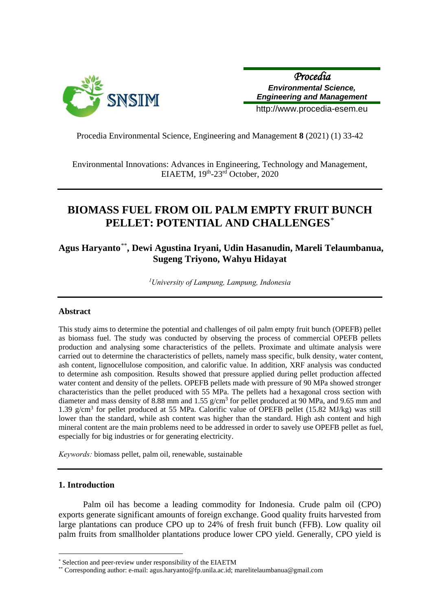

*Procedia Environmental Science, Engineering and Management*

http://www.procedia-esem.eu

Procedia Environmental Science, Engineering and Management **8** (2021) (1) 33-42

Environmental Innovations: Advances in Engineering, Technology and Management, EIAETM, 19th-23rd October, 2020

# **BIOMASS FUEL FROM OIL PALM EMPTY FRUIT BUNCH PELLET: POTENTIAL AND CHALLENGES**[\\*](#page-0-0)

## **Agus Haryanto**[\\*\\*](#page-0-1)**, Dewi Agustina Iryani, Udin Hasanudin, Mareli Telaumbanua, Sugeng Triyono, Wahyu Hidayat**

*1University of Lampung, Lampung, Indonesia* 

## **Abstract**

This study aims to determine the potential and challenges of oil palm empty fruit bunch (OPEFB) pellet as biomass fuel. The study was conducted by observing the process of commercial OPEFB pellets production and analysing some characteristics of the pellets. Proximate and ultimate analysis were carried out to determine the characteristics of pellets, namely mass specific, bulk density, water content, ash content, lignocellulose composition, and calorific value. In addition, XRF analysis was conducted to determine ash composition. Results showed that pressure applied during pellet production affected water content and density of the pellets. OPEFB pellets made with pressure of 90 MPa showed stronger characteristics than the pellet produced with 55 MPa. The pellets had a hexagonal cross section with diameter and mass density of 8.88 mm and 1.55  $g/cm<sup>3</sup>$  for pellet produced at 90 MPa, and 9.65 mm and 1.39 g/cm3 for pellet produced at 55 MPa. Calorific value of OPEFB pellet (15.82 MJ/kg) was still lower than the standard, while ash content was higher than the standard. High ash content and high mineral content are the main problems need to be addressed in order to savely use OPEFB pellet as fuel, especially for big industries or for generating electricity.

*Keywords:* biomass pellet, palm oil, renewable, sustainable

## **1. Introduction**

 $\overline{a}$ 

Palm oil has become a leading commodity for Indonesia. Crude palm oil (CPO) exports generate significant amounts of foreign exchange. Good quality fruits harvested from large plantations can produce CPO up to 24% of fresh fruit bunch (FFB). Low quality oil palm fruits from smallholder plantations produce lower CPO yield. Generally, CPO yield is

<span id="page-0-0"></span>Selection and peer-review under responsibility of the EIAETM

<span id="page-0-1"></span><sup>\*\*</sup> Corresponding author: e-mail: agus.haryanto@fp.unila.ac.id; marelitelaumbanua@gmail.com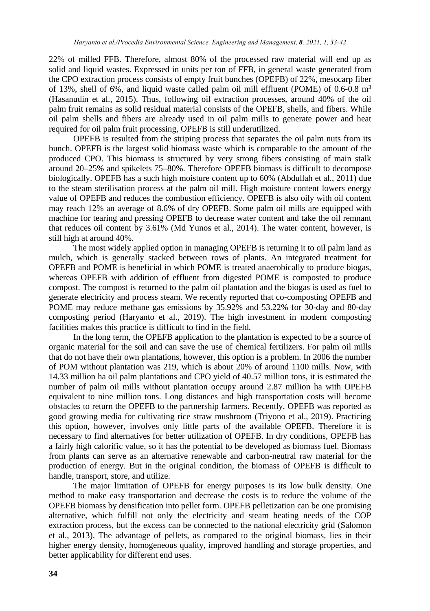22% of milled FFB. Therefore, almost 80% of the processed raw material will end up as solid and liquid wastes. Expressed in units per ton of FFB, in general waste generated from the CPO extraction process consists of empty fruit bunches (OPEFB) of 22%, mesocarp fiber of 13%, shell of 6%, and liquid waste called palm oil mill effluent (POME) of 0.6-0.8  $m<sup>3</sup>$ (Hasanudin et al., 2015). Thus, following oil extraction processes, around 40% of the oil palm fruit remains as solid residual material consists of the OPEFB, shells, and fibers. While oil palm shells and fibers are already used in oil palm mills to generate power and heat required for oil palm fruit processing, OPEFB is still underutilized.

OPEFB is resulted from the striping process that separates the oil palm nuts from its bunch. OPEFB is the largest solid biomass waste which is comparable to the amount of the produced CPO. This biomass is structured by very strong fibers consisting of main stalk around 20–25% and spikelets 75–80%. Therefore OPEFB biomass is difficult to decompose biologically. OPEFB has a such high moisture content up to 60% (Abdullah et al., 2011) due to the steam sterilisation process at the palm oil mill. High moisture content lowers energy value of OPEFB and reduces the combustion efficiency. OPEFB is also oily with oil content may reach 12% an average of 8.6% of dry OPEFB. Some palm oil mills are equipped with machine for tearing and pressing OPEFB to decrease water content and take the oil remnant that reduces oil content by 3.61% (Md Yunos et al., 2014). The water content, however, is still high at around 40%.

The most widely applied option in managing OPEFB is returning it to oil palm land as mulch, which is generally stacked between rows of plants. An integrated treatment for OPEFB and POME is beneficial in which POME is treated anaerobically to produce biogas, whereas OPEFB with addition of effluent from digested POME is composted to produce compost. The compost is returned to the palm oil plantation and the biogas is used as fuel to generate electricity and process steam. We recently reported that co-composting OPEFB and POME may reduce methane gas emissions by 35.92% and 53.22% for 30-day and 80-day composting period (Haryanto et al., 2019). The high investment in modern composting facilities makes this practice is difficult to find in the field.

In the long term, the OPEFB application to the plantation is expected to be a source of organic material for the soil and can save the use of chemical fertilizers. For palm oil mills that do not have their own plantations, however, this option is a problem. In 2006 the number of POM without plantation was 219, which is about 20% of around 1100 mills. Now, with 14.33 million ha oil palm plantations and CPO yield of 40.57 million tons, it is estimated the number of palm oil mills without plantation occupy around 2.87 million ha with OPEFB equivalent to nine million tons. Long distances and high transportation costs will become obstacles to return the OPEFB to the partnership farmers. Recently, OPEFB was reported as good growing media for cultivating rice straw mushroom (Triyono et al., 2019). Practicing this option, however, involves only little parts of the available OPEFB. Therefore it is necessary to find alternatives for better utilization of OPEFB. In dry conditions, OPEFB has a fairly high calorific value, so it has the potential to be developed as biomass fuel. Biomass from plants can serve as an alternative renewable and carbon-neutral raw material for the production of energy. But in the original condition, the biomass of OPEFB is difficult to handle, transport, store, and utilize.

The major limitation of OPEFB for energy purposes is its low bulk density. One method to make easy transportation and decrease the costs is to reduce the volume of the OPEFB biomass by densification into pellet form. OPEFB pelletization can be one promising alternative, which fulfill not only the electricity and steam heating needs of the COP extraction process, but the excess can be connected to the national electricity grid (Salomon et al., 2013). The advantage of pellets, as compared to the original biomass, lies in their higher energy density, homogeneous quality, improved handling and storage properties, and better applicability for different end uses.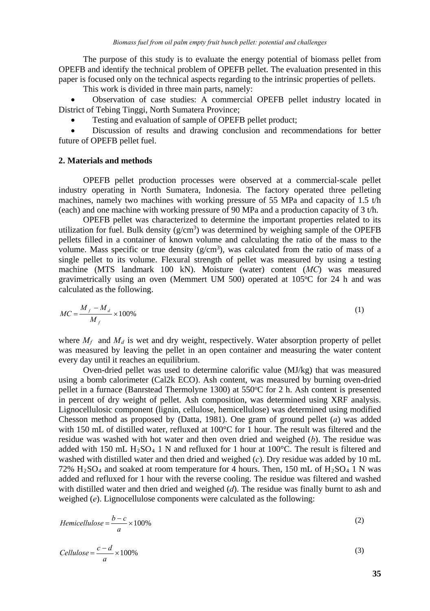The purpose of this study is to evaluate the energy potential of biomass pellet from OPEFB and identify the technical problem of OPEFB pellet. The evaluation presented in this paper is focused only on the technical aspects regarding to the intrinsic properties of pellets.

This work is divided in three main parts, namely:

• Observation of case studies: A commercial OPEFB pellet industry located in District of Tebing Tinggi, North Sumatera Province;

Testing and evaluation of sample of OPEFB pellet product:

• Discussion of results and drawing conclusion and recommendations for better future of OPEFB pellet fuel.

#### **2. Materials and methods**

OPEFB pellet production processes were observed at a commercial-scale pellet industry operating in North Sumatera, Indonesia. The factory operated three pelleting machines, namely two machines with working pressure of 55 MPa and capacity of 1.5 t/h (each) and one machine with working pressure of 90 MPa and a production capacity of 3  $t/h$ .

OPEFB pellet was characterized to determine the important properties related to its utilization for fuel. Bulk density  $(g/cm<sup>3</sup>)$  was determined by weighing sample of the OPEFB pellets filled in a container of known volume and calculating the ratio of the mass to the volume. Mass specific or true density  $(g/cm<sup>3</sup>)$ , was calculated from the ratio of mass of a single pellet to its volume. Flexural strength of pellet was measured by using a testing machine (MTS landmark 100 kN). Moisture (water) content (*MC*) was measured gravimetrically using an oven (Memmert UM 500) operated at 105°C for 24 h and was calculated as the following.

$$
MC = \frac{M_f - M_d}{M_f} \times 100\%
$$
 (1)

where  $M_f$  and  $M_d$  is wet and dry weight, respectively. Water absorption property of pellet was measured by leaving the pellet in an open container and measuring the water content every day until it reaches an equilibrium.

Oven-dried pellet was used to determine calorific value (MJ/kg) that was measured using a bomb calorimeter (Cal2k ECO). Ash content, was measured by burning oven-dried pellet in a furnace (Banrstead Thermolyne 1300) at 550°C for 2 h. Ash content is presented in percent of dry weight of pellet. Ash composition, was determined using XRF analysis. Lignocellulosic component (lignin, cellulose, hemicellulose) was determined using modified Chesson method as proposed by (Datta, 1981). One gram of ground pellet (*a*) was added with 150 mL of distilled water, refluxed at 100°C for 1 hour. The result was filtered and the residue was washed with hot water and then oven dried and weighed (*b*). The residue was added with 150 mL H<sub>2</sub>SO<sub>4</sub> 1 N and refluxed for 1 hour at 100 $^{\circ}$ C. The result is filtered and washed with distilled water and then dried and weighed (*c*). Dry residue was added by 10 mL 72%  $H<sub>2</sub>SO<sub>4</sub>$  and soaked at room temperature for 4 hours. Then, 150 mL of  $H<sub>2</sub>SO<sub>4</sub>$  1 N was added and refluxed for 1 hour with the reverse cooling. The residue was filtered and washed with distilled water and then dried and weighed (*d*). The residue was finally burnt to ash and weighed (*e*). Lignocellulose components were calculated as the following:

$$
Hemicellulose = \frac{b-c}{a} \times 100\%
$$
\n(2)

$$
Cellulose = \frac{c - d}{a} \times 100\%
$$
\n<sup>(3)</sup>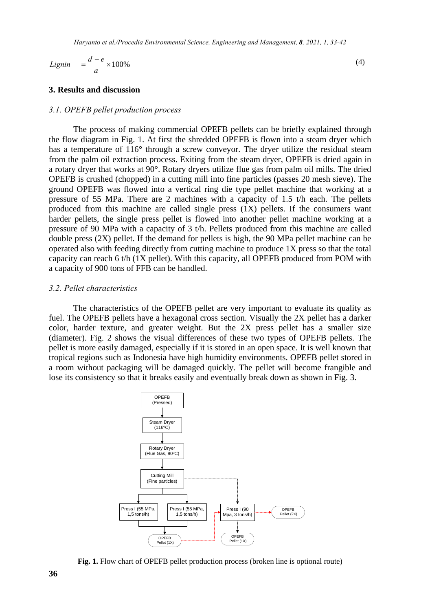$$
Lignin = \frac{d - e}{a} \times 100\% \tag{4}
$$

## **3. Results and discussion**

## *3.1. OPEFB pellet production process*

The process of making commercial OPEFB pellets can be briefly explained through the flow diagram in Fig. 1. At first the shredded OPEFB is flown into a steam dryer which has a temperature of 116° through a screw conveyor. The dryer utilize the residual steam from the palm oil extraction process. Exiting from the steam dryer, OPEFB is dried again in a rotary dryer that works at 90°. Rotary dryers utilize flue gas from palm oil mills. The dried OPEFB is crushed (chopped) in a cutting mill into fine particles (passes 20 mesh sieve). The ground OPEFB was flowed into a vertical ring die type pellet machine that working at a pressure of 55 MPa. There are 2 machines with a capacity of 1.5 t/h each. The pellets produced from this machine are called single press  $(1X)$  pellets. If the consumers want harder pellets, the single press pellet is flowed into another pellet machine working at a pressure of 90 MPa with a capacity of 3 t/h. Pellets produced from this machine are called double press  $(2X)$  pellet. If the demand for pellets is high, the 90 MPa pellet machine can be operated also with feeding directly from cutting machine to produce 1X press so that the total capacity can reach 6 t/h  $(1X)$  pellet). With this capacity, all OPEFB produced from POM with a capacity of 900 tons of FFB can be handled.

#### *3.2. Pellet characteristics*

The characteristics of the OPEFB pellet are very important to evaluate its quality as fuel. The OPEFB pellets have a hexagonal cross section. Visually the 2X pellet has a darker color, harder texture, and greater weight. But the 2X press pellet has a smaller size (diameter). Fig. 2 shows the visual differences of these two types of OPEFB pellets. The pellet is more easily damaged, especially if it is stored in an open space. It is well known that tropical regions such as Indonesia have high humidity environments. OPEFB pellet stored in a room without packaging will be damaged quickly. The pellet will become frangible and lose its consistency so that it breaks easily and eventually break down as shown in Fig. 3.



**Fig. 1.** Flow chart of OPEFB pellet production process (broken line is optional route)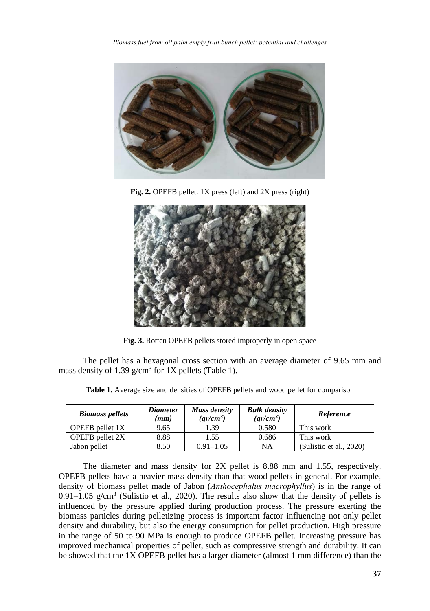*Biomass fuel from oil palm empty fruit bunch pellet: potential and challenges*



Fig. 2. OPEFB pellet: 1X press (left) and 2X press (right)



**Fig. 3.** Rotten OPEFB pellets stored improperly in open space

The pellet has a hexagonal cross section with an average diameter of 9.65 mm and mass density of 1.39 g/cm<sup>3</sup> for 1X pellets (Table 1).

| <b>Biomass pellets</b> | <i>Diameter</i><br>(mm) | Mass density<br>$gr/cm^3$ ) | <b>Bulk density</b><br>$gr/cm^3$ | Reference               |
|------------------------|-------------------------|-----------------------------|----------------------------------|-------------------------|
| OPEFB pellet 1X        | 9.65                    | 1.39                        | 0.580                            | This work               |
| <b>OPEFB</b> pellet 2X | 8.88                    | 1.55                        | 0.686                            | This work               |
| Jabon pellet           | 8.50                    | $0.91 - 1.05$               | NA                               | (Sulistio et al., 2020) |

**Table 1.** Average size and densities of OPEFB pellets and wood pellet for comparison

The diameter and mass density for 2X pellet is 8.88 mm and 1.55, respectively. OPEFB pellets have a heavier mass density than that wood pellets in general. For example, density of biomass pellet made of Jabon (*Anthocephalus macrophyllus*) is in the range of  $0.91-1.05$  g/cm<sup>3</sup> (Sulistio et al., 2020). The results also show that the density of pellets is influenced by the pressure applied during production process. The pressure exerting the biomass particles during pelletizing process is important factor influencing not only pellet density and durability, but also the energy consumption for pellet production. High pressure in the range of 50 to 90 MPa is enough to produce OPEFB pellet. Increasing pressure has improved mechanical properties of pellet, such as compressive strength and durability. It can be showed that the 1X OPEFB pellet has a larger diameter (almost 1 mm difference) than the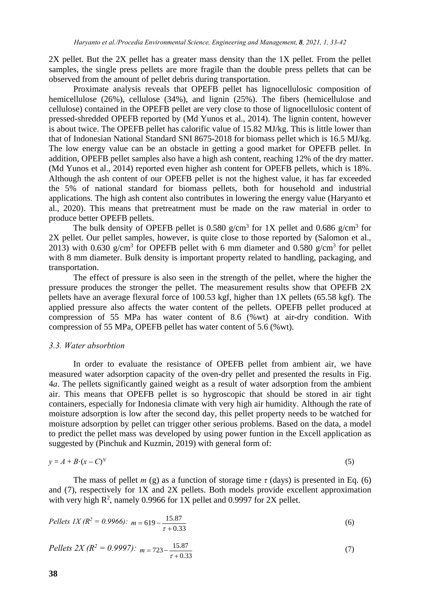2X pellet. But the 2X pellet has a greater mass density than the 1X pellet. From the pellet samples, the single press pellets are more fragile than the double press pellets that can be observed from the amount of pellet debris during transportation.

Proximate analysis reveals that OPEFB pellet has lignocellulosic composition of hemicellulose (26%), cellulose (34%), and lignin (25%). The fibers (hemicellulose and cellulose) contained in the OPEFB pellet are very close to those of lignocellulosic content of pressed-shredded OPEFB reported by (Md Yunos et al., 2014). The lignin content, however is about twice. The OPEFB pellet has calorific value of 15.82 MJ/kg. This is little lower than that of Indonesian National Standard SNI 8675-2018 for biomass pellet which is 16.5 MJ/kg. The low energy value can be an obstacle in getting a good market for OPEFB pellet. In addition, OPEFB pellet samples also have a high ash content, reaching 12% of the dry matter. (Md Yunos et al., 2014) reported even higher ash content for OPEFB pellets, which is 18%. Although the ash content of our OPEFB pellet is not the highest value, it has far exceeded the 5% of national standard for biomass pellets, both for household and industrial applications. The high ash content also contributes in lowering the energy value (Haryanto et al., 2020). This means that pretreatment must be made on the raw material in order to produce better OPEFB pellets.

The bulk density of OPEFB pellet is 0.580 g/cm<sup>3</sup> for 1X pellet and 0.686 g/cm<sup>3</sup> for 2X pellet. Our pellet samples, however, is quite close to those reported by (Salomon et al., 2013) with 0.630 g/cm<sup>3</sup> for OPEFB pellet with 6 mm diameter and 0.580 g/cm<sup>3</sup> for pellet with 8 mm diameter. Bulk density is important property related to handling, packaging, and transportation.

The effect of pressure is also seen in the strength of the pellet, where the higher the pressure produces the stronger the pellet. The measurement results show that OPEFB 2X pellets have an average flexural force of 100.53 kgf, higher than 1X pellets (65.58 kgf). The applied pressure also affects the water content of the pellets. OPEFB pellet produced at compression of 55 MPa has water content of 8.6 (%wt) at air-dry condition. With compression of 55 MPa, OPEFB pellet has water content of 5.6 (%wt).

## *3.3. Water absorbtion*

In order to evaluate the resistance of OPEFB pellet from ambient air, we have measured water adsorption capacity of the oven-dry pellet and presented the results in Fig. 4*a*. The pellets significantly gained weight as a result of water adsorption from the ambient air. This means that OPEFB pellet is so hygroscopic that should be stored in air tight containers, especially for Indonesia climate with very high air humidity. Although the rate of moisture adsorption is low after the second day, this pellet property needs to be watched for moisture adsorption by pellet can trigger other serious problems. Based on the data, a model to predict the pellet mass was developed by using power funtion in the Excell application as suggested by (Pinchuk and Kuzmin, 2019) with general form of:

$$
y = A + B \cdot (x - C)^N \tag{5}
$$

The mass of pellet *m* (g) as a function of storage time  $\tau$  (days) is presented in Eq. (6) and (7), respectively for 1X and 2X pellets. Both models provide excellent approximation with very high  $R^2$ , namely 0.9966 for 1X pellet and 0.9997 for 2X pellet.

$$
Pellers IX (R2 = 0.9966): m = 619 - \frac{15.87}{\tau + 0.33}
$$
 (6)

$$
Pellers 2X (R2 = 0.9997): \, m = 723 - \frac{15.87}{\tau + 0.33} \tag{7}
$$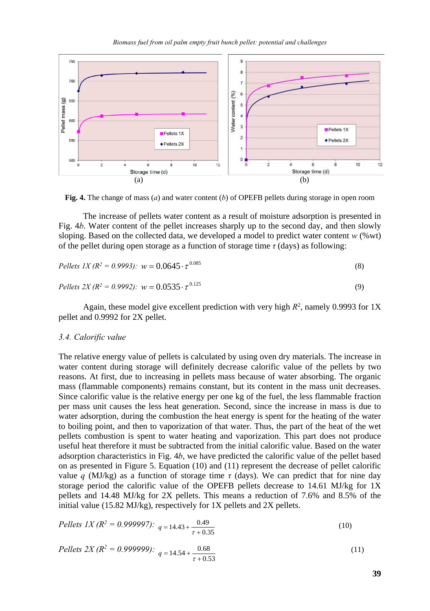*Biomass fuel from oil palm empty fruit bunch pellet: potential and challenges*



**Fig. 4.** The change of mass (*a*) and water content (*b*) of OPEFB pellets during storage in open room

The increase of pellets water content as a result of moisture adsorption is presented in Fig. 4*b*. Water content of the pellet increases sharply up to the second day, and then slowly sloping. Based on the collected data, we developed a model to predict water content *w* (%wt) of the pellet during open storage as a function of storage time *τ* (days) as following:

$$
Pellers IX (R2 = 0.9993): w = 0.0645 \cdot \tau^{0.085}
$$
\n(8)

$$
Pellers 2X (R2 = 0.9992): w = 0.0535 \cdot \tau^{0.125}
$$
\n(9)

Again, these model give excellent prediction with very high  $R^2$ , namely 0.9993 for 1X pellet and 0.9992 for 2X pellet.

#### *3.4. Calorific value*

The relative energy value of pellets is calculated by using oven dry materials. The increase in water content during storage will definitely decrease calorific value of the pellets by two reasons. At first, due to increasing in pellets mass because of water absorbing. The organic mass (flammable components) remains constant, but its content in the mass unit decreases. Since calorific value is the relative energy per one kg of the fuel, the less flammable fraction per mass unit causes the less heat generation. Second, since the increase in mass is due to water adsorption, during the combustion the heat energy is spent for the heating of the water to boiling point, and then to vaporization of that water. Thus, the part of the heat of the wet pellets combustion is spent to water heating and vaporization. This part does not produce useful heat therefore it must be subtracted from the initial calorific value. Based on the water adsorption characteristics in Fig. 4*b*, we have predicted the calorific value of the pellet based on as presented in Figure 5. Equation (10) and (11) represent the decrease of pellet calorific value *q* (MJ/kg) as a function of storage time *τ* (days). We can predict that for nine day storage period the calorific value of the OPEFB pellets decrease to 14.61 MJ/kg for 1X pellets and 14.48 MJ/kg for 2X pellets. This means a reduction of 7.6% and 8.5% of the initial value (15.82 MJ/kg), respectively for 1X pellets and 2X pellets.

$$
Pellets IX (R2 = 0.999997): q = 14.43 + \frac{0.49}{\tau + 0.35}
$$
\n(10)

$$
Pellets \ 2X (R^2 = 0.9999992): \ q = 14.54 + \frac{0.68}{\tau + 0.53}
$$
\n<sup>(11)</sup>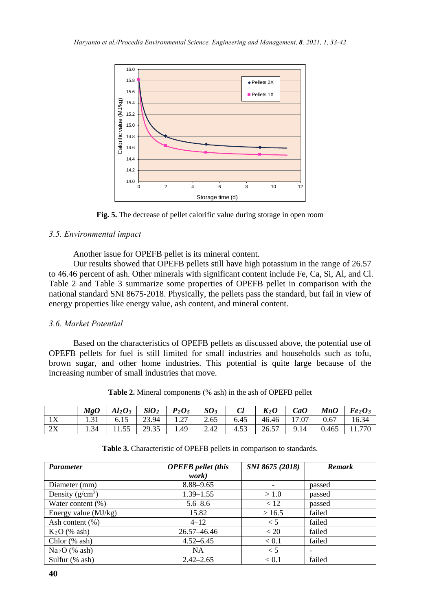

**Fig. 5.** The decrease of pellet calorific value during storage in open room

## *3.5. Environmental impact*

Another issue for OPEFB pellet is its mineral content.

Our results showed that OPEFB pellets still have high potassium in the range of 26.57 to 46.46 percent of ash. Other minerals with significant content include Fe, Ca, Si, Al, and Cl. Table 2 and Table 3 summarize some properties of OPEFB pellet in comparison with the national standard SNI 8675-2018. Physically, the pellets pass the standard, but fail in view of energy properties like energy value, ash content, and mineral content.

## *3.6. Market Potential*

Based on the characteristics of OPEFB pellets as discussed above, the potential use of OPEFB pellets for fuel is still limited for small industries and households such as tofu, brown sugar, and other home industries. This potential is quite large because of the increasing number of small industries that move.

|    | $M$ g $O$ | $A1_2O_3$ $SiO_2$ $P_2O_5$                                                |  | SO <sub>3</sub> | Cl        | $K_2O$ | CaO |                     | $MnO$   $Fe2O3$ |
|----|-----------|---------------------------------------------------------------------------|--|-----------------|-----------|--------|-----|---------------------|-----------------|
| 1X |           | $1.31$   6.15   23.94   1.27   2.65   6.45   46.46   17.07   0.67   16.34 |  |                 |           |        |     |                     |                 |
| 2X | 1.34      | $11.55$ 29.35 1.49                                                        |  |                 | 2.42 4.53 | 26.57  |     | $9.14$ 0.465 11.770 |                 |

**Table 2.** Mineral components (% ash) in the ash of OPEFB pellet

| <b>Parameter</b>       | <b>OPEFB</b> pellet (this | SNI 8675 (2018) | <b>Remark</b> |  |
|------------------------|---------------------------|-----------------|---------------|--|
|                        | work)                     |                 |               |  |
| Diameter (mm)          | 8.88-9.65                 |                 | passed        |  |
| Density $(g/cm^3)$     | $1.39 - 1.55$             | >1.0            | passed        |  |
| Water content (%)      | $5.6 - 8.6$               | < 12            | passed        |  |
| Energy value $(MJ/kg)$ | 15.82                     | >16.5           | failed        |  |
| Ash content (%)        | $4 - 12$                  | < 5             | failed        |  |
| $K2O$ (% ash)          | 26.57-46.46               | < 20            | failed        |  |
| Chlor $(\%$ ash)       | $4.52 - 6.45$             | < 0.1           | failed        |  |
| $Na2O$ (% ash)         | <b>NA</b>                 | $\lt$ 5         |               |  |
| Sulfur (% ash)         | $2.42 - 2.65$             | < 0.1           | failed        |  |

**Table 3.** Characteristic of OPEFB pellets in comparison to standards.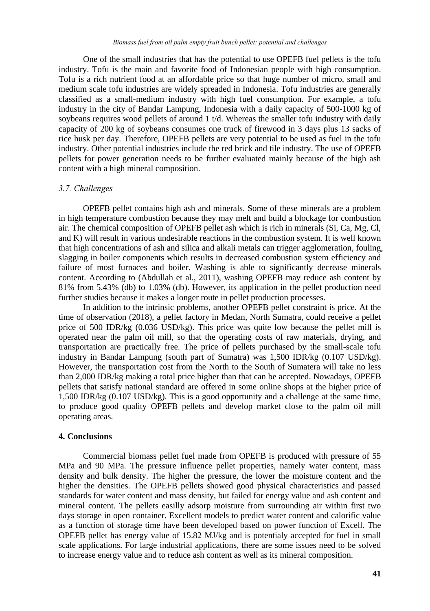One of the small industries that has the potential to use OPEFB fuel pellets is the tofu industry. Tofu is the main and favorite food of Indonesian people with high consumption. Tofu is a rich nutrient food at an affordable price so that huge number of micro, small and medium scale tofu industries are widely spreaded in Indonesia. Tofu industries are generally classified as a small-medium industry with high fuel consumption. For example, a tofu industry in the city of Bandar Lampung, Indonesia with a daily capacity of 500-1000 kg of soybeans requires wood pellets of around 1 t/d. Whereas the smaller tofu industry with daily capacity of 200 kg of soybeans consumes one truck of firewood in 3 days plus 13 sacks of rice husk per day. Therefore, OPEFB pellets are very potential to be used as fuel in the tofu industry. Other potential industries include the red brick and tile industry. The use of OPEFB pellets for power generation needs to be further evaluated mainly because of the high ash content with a high mineral composition.

## *3.7. Challenges*

OPEFB pellet contains high ash and minerals. Some of these minerals are a problem in high temperature combustion because they may melt and build a blockage for combustion air. The chemical composition of OPEFB pellet ash which is rich in minerals (Si, Ca, Mg, Cl, and K) will result in various undesirable reactions in the combustion system. It is well known that high concentrations of ash and silica and alkali metals can trigger agglomeration, fouling, slagging in boiler components which results in decreased combustion system efficiency and failure of most furnaces and boiler. Washing is able to significantly decrease minerals content. According to (Abdullah et al., 2011), washing OPEFB may reduce ash content by 81% from 5.43% (db) to 1.03% (db). However, its application in the pellet production need further studies because it makes a longer route in pellet production processes.

In addition to the intrinsic problems, another OPEFB pellet constraint is price. At the time of observation (2018), a pellet factory in Medan, North Sumatra, could receive a pellet price of 500 IDR/kg (0.036 USD/kg). This price was quite low because the pellet mill is operated near the palm oil mill, so that the operating costs of raw materials, drying, and transportation are practically free. The price of pellets purchased by the small-scale tofu industry in Bandar Lampung (south part of Sumatra) was 1,500 IDR/kg (0.107 USD/kg). However, the transportation cost from the North to the South of Sumatera will take no less than 2,000 IDR/kg making a total price higher than that can be accepted. Nowadays, OPEFB pellets that satisfy national standard are offered in some online shops at the higher price of 1,500 IDR/kg (0.107 USD/kg). This is a good opportunity and a challenge at the same time, to produce good quality OPEFB pellets and develop market close to the palm oil mill operating areas.

## **4. Conclusions**

Commercial biomass pellet fuel made from OPEFB is produced with pressure of 55 MPa and 90 MPa. The pressure influence pellet properties, namely water content, mass density and bulk density. The higher the pressure, the lower the moisture content and the higher the densities. The OPEFB pellets showed good physical characteristics and passed standards for water content and mass density, but failed for energy value and ash content and mineral content. The pellets easilly adsorp moisture from surrounding air within first two days storage in open container. Excellent models to predict water content and calorific value as a function of storage time have been developed based on power function of Excell. The OPEFB pellet has energy value of 15.82 MJ/kg and is potentialy accepted for fuel in small scale applications. For large industrial applications, there are some issues need to be solved to increase energy value and to reduce ash content as well as its mineral composition.